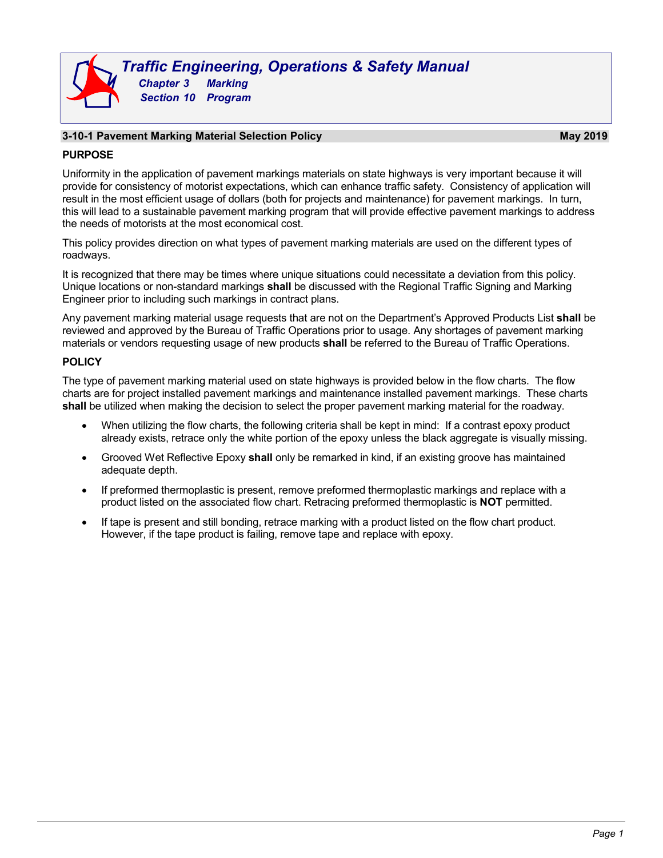# **3-10-1 Pavement Marking Material Selection Policy May 2019**

## **PURPOSE**

Uniformity in the application of pavement markings materials on state highways is very important because it will provide for consistency of motorist expectations, which can enhance traffic safety. Consistency of application will result in the most efficient usage of dollars (both for projects and maintenance) for pavement markings. In turn, this will lead to a sustainable pavement marking program that will provide effective pavement markings to address the needs of motorists at the most economical cost.

This policy provides direction on what types of pavement marking materials are used on the different types of roadways.

It is recognized that there may be times where unique situations could necessitate a deviation from this policy. Unique locations or non-standard markings **shall** be discussed with the Regional Traffic Signing and Marking Engineer prior to including such markings in contract plans.

Any pavement marking material usage requests that are not on the Department's Approved Products List **shall** be reviewed and approved by the Bureau of Traffic Operations prior to usage. Any shortages of pavement marking materials or vendors requesting usage of new products **shall** be referred to the Bureau of Traffic Operations.

## **POLICY**

The type of pavement marking material used on state highways is provided below in the flow charts. The flow charts are for project installed pavement markings and maintenance installed pavement markings. These charts **shall** be utilized when making the decision to select the proper pavement marking material for the roadway.

- When utilizing the flow charts, the following criteria shall be kept in mind: If a contrast epoxy product already exists, retrace only the white portion of the epoxy unless the black aggregate is visually missing.
- Grooved Wet Reflective Epoxy **shall** only be remarked in kind, if an existing groove has maintained adequate depth.
- If preformed thermoplastic is present, remove preformed thermoplastic markings and replace with a product listed on the associated flow chart. Retracing preformed thermoplastic is **NOT** permitted.
- If tape is present and still bonding, retrace marking with a product listed on the flow chart product. However, if the tape product is failing, remove tape and replace with epoxy.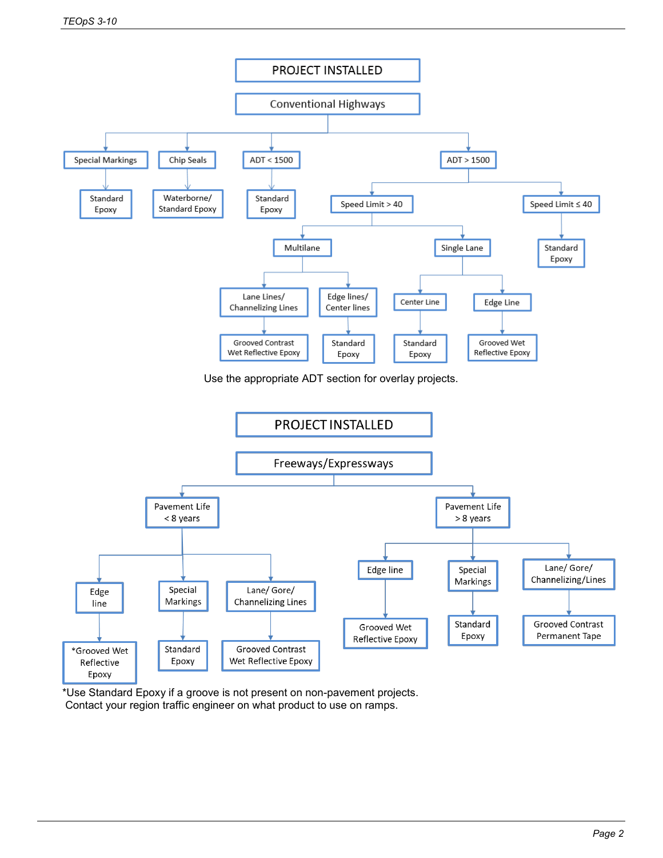

\*Use Standard Epoxy if a groove is not present on non-pavement projects. Contact your region traffic engineer on what product to use on ramps.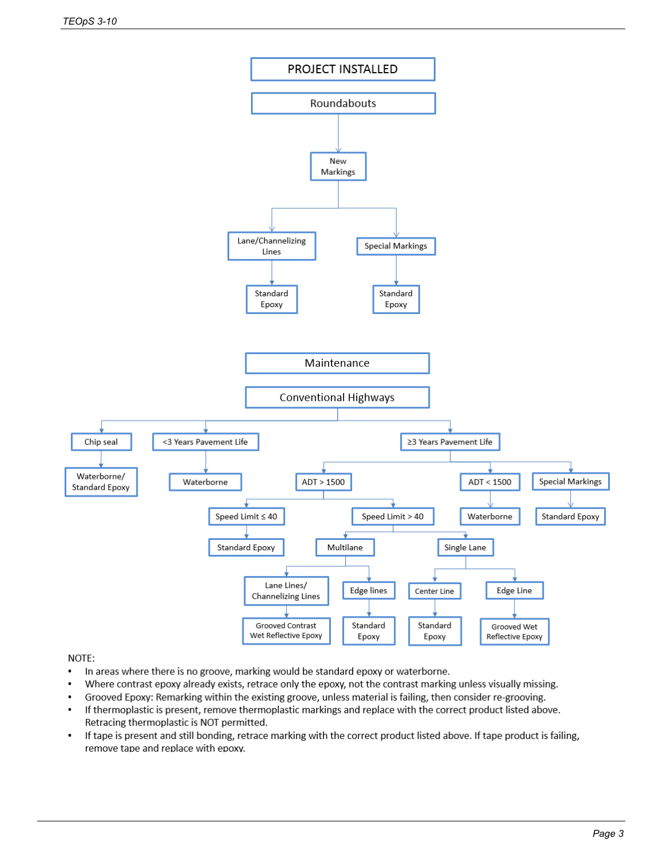

## NOTE:

- $\bullet$ In areas where there is no groove, marking would be standard epoxy or waterborne.
- $\cdot$ Where contrast epoxy already exists, retrace only the epoxy, not the contrast marking unless visually missing.
- Grooved Epoxy: Remarking within the existing groove, unless material is failing, then consider re-grooving.  $\bullet$
- If thermoplastic is present, remove thermoplastic markings and replace with the correct product listed above.  $\bullet$ Retracing thermoplastic is NOT permitted.
- If tape is present and still bonding, retrace marking with the correct product listed above. If tape product is failing,  $\bullet$ remove tape and replace with epoxy.